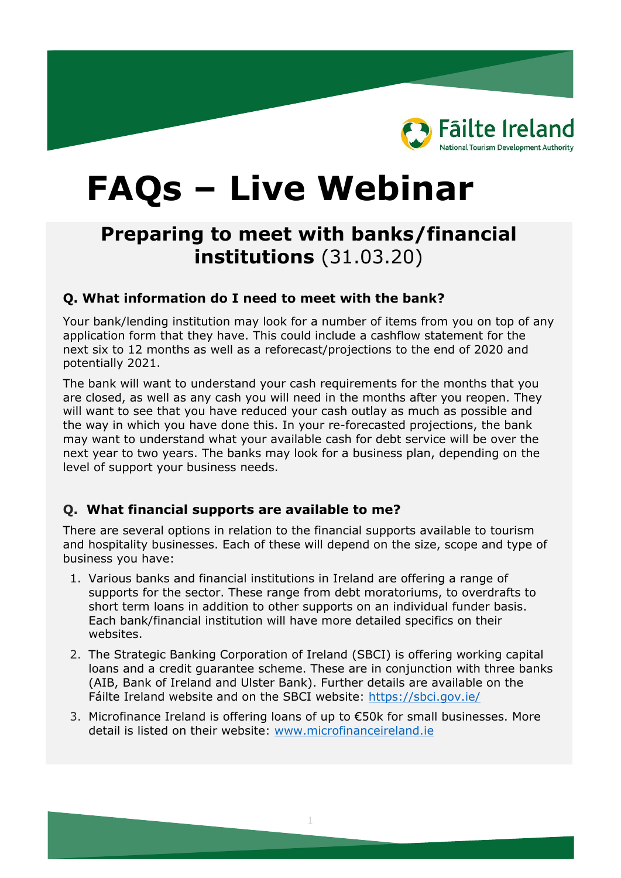

# **FAQs – Live Webinar**

# **Preparing to meet with banks/financial institutions** (31.03.20)

#### **Q. What information do I need to meet with the bank?**

Your bank/lending institution may look for a number of items from you on top of any application form that they have. This could include a cashflow statement for the next six to 12 months as well as a reforecast/projections to the end of 2020 and potentially 2021.

The bank will want to understand your cash requirements for the months that you are closed, as well as any cash you will need in the months after you reopen. They will want to see that you have reduced your cash outlay as much as possible and the way in which you have done this. In your re-forecasted projections, the bank may want to understand what your available cash for debt service will be over the next year to two years. The banks may look for a business plan, depending on the level of support your business needs.

#### **Q. What financial supports are available to me?**

There are several options in relation to the financial supports available to tourism and hospitality businesses. Each of these will depend on the size, scope and type of business you have:

- 1. Various banks and financial institutions in Ireland are offering a range of supports for the sector. These range from debt moratoriums, to overdrafts to short term loans in addition to other supports on an individual funder basis. Each bank/financial institution will have more detailed specifics on their websites.
- 2. The Strategic Banking Corporation of Ireland (SBCI) is offering working capital loans and a credit guarantee scheme. These are in conjunction with three banks (AIB, Bank of Ireland and Ulster Bank). Further details are available on the Fáilte Ireland website and on the SBCI website: [https://sbci.gov.ie/](https://eur01.safelinks.protection.outlook.com/?url=https%3A%2F%2Fsbci.gov.ie%2F&data=02%7C01%7CHelen.McDaid%40failteireland.ie%7C7d76d4e979a640dd5cc708d7cf435104%7Ccaebc2d283f54f60b6db8273d5335aad%7C1%7C0%7C637205760334027795&sdata=v%2FhXNpdz%2FCk8R0ERycG%2F8FxX9W%2BHDUcnH3j9zHZ708Q%3D&reserved=0)
- 3. Microfinance Ireland is offering loans of up to €50k for small businesses. More detail is listed on their website: [www.microfinanceireland.ie](http://www.microfinanceireland.ie/)